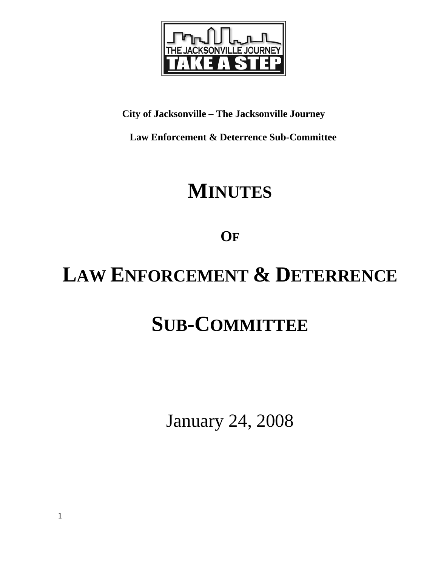

## **City of Jacksonville – The Jacksonville Journey**

 **Law Enforcement & Deterrence Sub-Committee** 

## **MINUTES**

**OF**

# **LAW ENFORCEMENT & DETERRENCE**

## **SUB-COMMITTEE**

January 24, 2008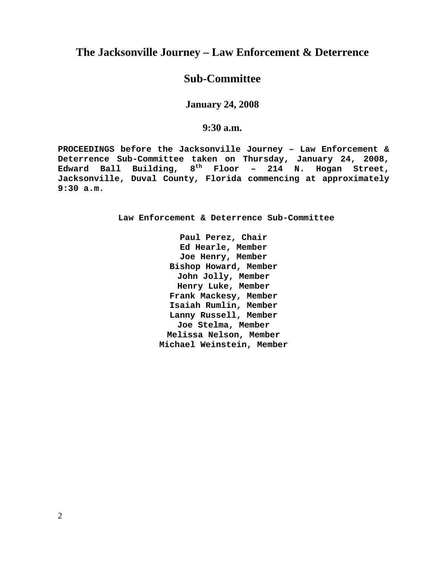## **The Jacksonville Journey – Law Enforcement & Deterrence**

### **Sub-Committee**

**January 24, 2008** 

**9:30 a.m.**

**PROCEEDINGS before the Jacksonville Journey – Law Enforcement & Deterrence Sub-Committee taken on Thursday, January 24, 2008, Edward Ball Building, 8th Floor – 214 N. Hogan Street, Jacksonville, Duval County, Florida commencing at approximately 9:30 a.m.** 

**Law Enforcement & Deterrence Sub-Committee** 

**Paul Perez, Chair Ed Hearle, Member Joe Henry, Member Bishop Howard, Member John Jolly, Member Henry Luke, Member Frank Mackesy, Member Isaiah Rumlin, Member Lanny Russell, Member Joe Stelma, Member Melissa Nelson, Member Michael Weinstein, Member**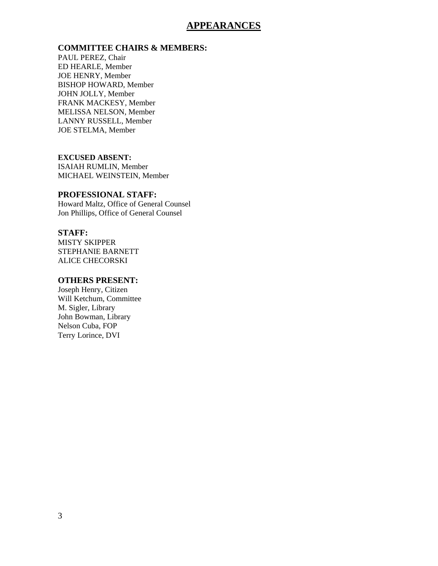### **APPEARANCES**

#### **COMMITTEE CHAIRS & MEMBERS:**

PAUL PEREZ, Chair ED HEARLE, Member JOE HENRY, Member BISHOP HOWARD, Member JOHN JOLLY, Member FRANK MACKESY, Member MELISSA NELSON, Member LANNY RUSSELL, Member JOE STELMA, Member

**EXCUSED ABSENT:**  ISAIAH RUMLIN, Member MICHAEL WEINSTEIN, Member

#### **PROFESSIONAL STAFF:**

Howard Maltz, Office of General Counsel Jon Phillips, Office of General Counsel

#### **STAFF:**

MISTY SKIPPER STEPHANIE BARNETT ALICE CHECORSKI

#### **OTHERS PRESENT:**

Joseph Henry, Citizen Will Ketchum, Committee M. Sigler, Library John Bowman, Library Nelson Cuba, FOP Terry Lorince, DVI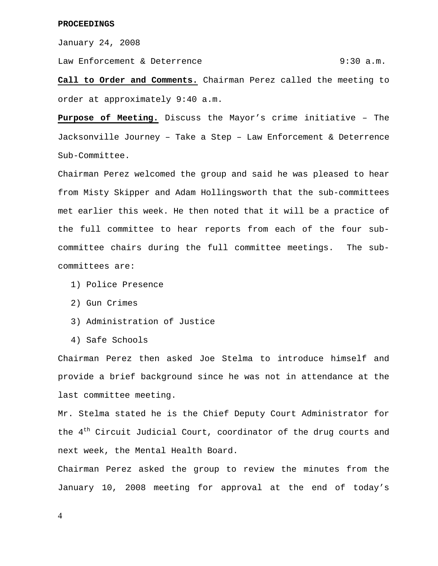January 24, 2008

Law Enforcement & Deterrence  $9:30$  a.m.

**Call to Order and Comments.** Chairman Perez called the meeting to order at approximately 9:40 a.m.

**Purpose of Meeting.** Discuss the Mayor's crime initiative – The Jacksonville Journey – Take a Step – Law Enforcement & Deterrence Sub-Committee.

Chairman Perez welcomed the group and said he was pleased to hear from Misty Skipper and Adam Hollingsworth that the sub-committees met earlier this week. He then noted that it will be a practice of the full committee to hear reports from each of the four subcommittee chairs during the full committee meetings. The subcommittees are:

- 1) Police Presence
- 2) Gun Crimes
- 3) Administration of Justice
- 4) Safe Schools

Chairman Perez then asked Joe Stelma to introduce himself and provide a brief background since he was not in attendance at the last committee meeting.

Mr. Stelma stated he is the Chief Deputy Court Administrator for the  $4<sup>th</sup>$  Circuit Judicial Court, coordinator of the drug courts and next week, the Mental Health Board.

Chairman Perez asked the group to review the minutes from the January 10, 2008 meeting for approval at the end of today's

4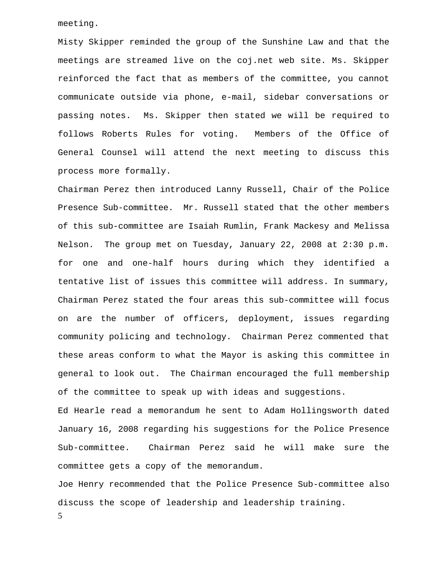meeting.

Misty Skipper reminded the group of the Sunshine Law and that the meetings are streamed live on the coj.net web site. Ms. Skipper reinforced the fact that as members of the committee, you cannot communicate outside via phone, e-mail, sidebar conversations or passing notes. Ms. Skipper then stated we will be required to follows Roberts Rules for voting. Members of the Office of General Counsel will attend the next meeting to discuss this process more formally.

Chairman Perez then introduced Lanny Russell, Chair of the Police Presence Sub-committee. Mr. Russell stated that the other members of this sub-committee are Isaiah Rumlin, Frank Mackesy and Melissa Nelson. The group met on Tuesday, January 22, 2008 at 2:30 p.m. for one and one-half hours during which they identified a tentative list of issues this committee will address. In summary, Chairman Perez stated the four areas this sub-committee will focus on are the number of officers, deployment, issues regarding community policing and technology. Chairman Perez commented that these areas conform to what the Mayor is asking this committee in general to look out. The Chairman encouraged the full membership of the committee to speak up with ideas and suggestions.

Ed Hearle read a memorandum he sent to Adam Hollingsworth dated January 16, 2008 regarding his suggestions for the Police Presence Sub-committee. Chairman Perez said he will make sure the committee gets a copy of the memorandum.

Joe Henry recommended that the Police Presence Sub-committee also discuss the scope of leadership and leadership training.

5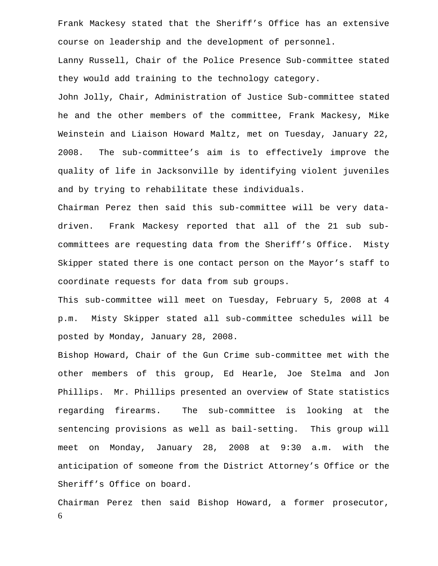Frank Mackesy stated that the Sheriff's Office has an extensive course on leadership and the development of personnel.

Lanny Russell, Chair of the Police Presence Sub-committee stated they would add training to the technology category.

John Jolly, Chair, Administration of Justice Sub-committee stated he and the other members of the committee, Frank Mackesy, Mike Weinstein and Liaison Howard Maltz, met on Tuesday, January 22, 2008. The sub-committee's aim is to effectively improve the quality of life in Jacksonville by identifying violent juveniles and by trying to rehabilitate these individuals.

Chairman Perez then said this sub-committee will be very datadriven. Frank Mackesy reported that all of the 21 sub subcommittees are requesting data from the Sheriff's Office. Misty Skipper stated there is one contact person on the Mayor's staff to coordinate requests for data from sub groups.

This sub-committee will meet on Tuesday, February 5, 2008 at 4 p.m. Misty Skipper stated all sub-committee schedules will be posted by Monday, January 28, 2008.

Bishop Howard, Chair of the Gun Crime sub-committee met with the other members of this group, Ed Hearle, Joe Stelma and Jon Phillips. Mr. Phillips presented an overview of State statistics regarding firearms. The sub-committee is looking at the sentencing provisions as well as bail-setting. This group will meet on Monday, January 28, 2008 at 9:30 a.m. with the anticipation of someone from the District Attorney's Office or the Sheriff's Office on board.

6 Chairman Perez then said Bishop Howard, a former prosecutor,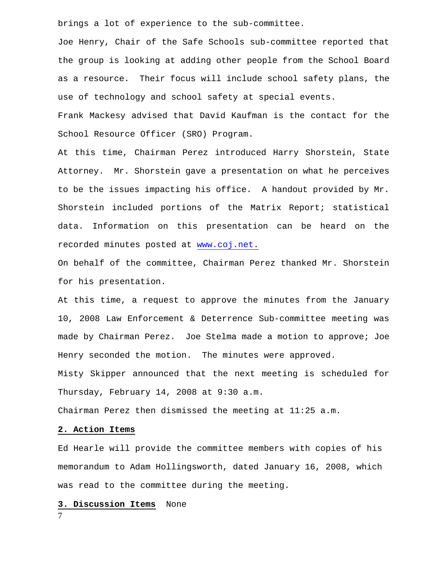brings a lot of experience to the sub-committee.

Joe Henry, Chair of the Safe Schools sub-committee reported that the group is looking at adding other people from the School Board as a resource. Their focus will include school safety plans, the use of technology and school safety at special events.

Frank Mackesy advised that David Kaufman is the contact for the School Resource Officer (SRO) Program.

At this time, Chairman Perez introduced Harry Shorstein, State Attorney. Mr. Shorstein gave a presentation on what he perceives to be the issues impacting his office. A handout provided by Mr. Shorstein included portions of the Matrix Report; statistical data. Information on this presentation can be heard on the recorded minutes posted at [www.coj.net.](http://www.coj.net/)

On behalf of the committee, Chairman Perez thanked Mr. Shorstein for his presentation.

At this time, a request to approve the minutes from the January 10, 2008 Law Enforcement & Deterrence Sub-committee meeting was made by Chairman Perez. Joe Stelma made a motion to approve; Joe Henry seconded the motion. The minutes were approved.

Misty Skipper announced that the next meeting is scheduled for Thursday, February 14, 2008 at 9:30 a.m.

Chairman Perez then dismissed the meeting at 11:25 a.m.

#### **2. Action Items**

Ed Hearle will provide the committee members with copies of his memorandum to Adam Hollingsworth, dated January 16, 2008, which was read to the committee during the meeting.

#### **3. Discussion Items** None

7